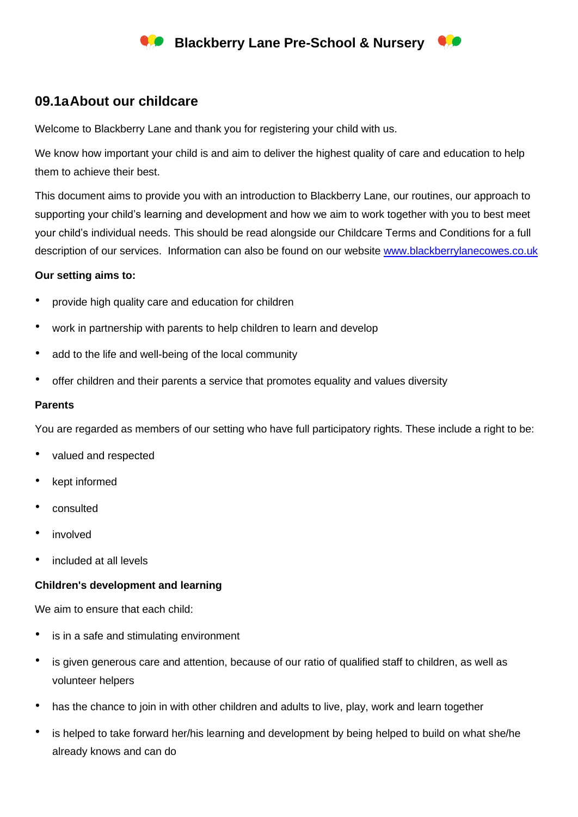# **Blackberry Lane Pre-School & Nursery**

## **09.1aAbout our childcare**

Welcome to Blackberry Lane and thank you for registering your child with us.

We know how important your child is and aim to deliver the highest quality of care and education to help them to achieve their best.

This document aims to provide you with an introduction to Blackberry Lane, our routines, our approach to supporting your child's learning and development and how we aim to work together with you to best meet your child's individual needs. This should be read alongside our Childcare Terms and Conditions for a full description of our services. Information can also be found on our website [www.blackberrylanecowes.co.uk](http://www.blackberrylanecowes.co.uk/)

## **Our setting aims to:**

- provide high quality care and education for children
- work in partnership with parents to help children to learn and develop
- add to the life and well-being of the local community
- offer children and their parents a service that promotes equality and values diversity

#### **Parents**

You are regarded as members of our setting who have full participatory rights. These include a right to be:

- valued and respected
- kept informed
- consulted
- *involved*
- included at all levels

## **Children's development and learning**

We aim to ensure that each child:

- is in a safe and stimulating environment
- is given generous care and attention, because of our ratio of qualified staff to children, as well as volunteer helpers
- has the chance to join in with other children and adults to live, play, work and learn together
- is helped to take forward her/his learning and development by being helped to build on what she/he already knows and can do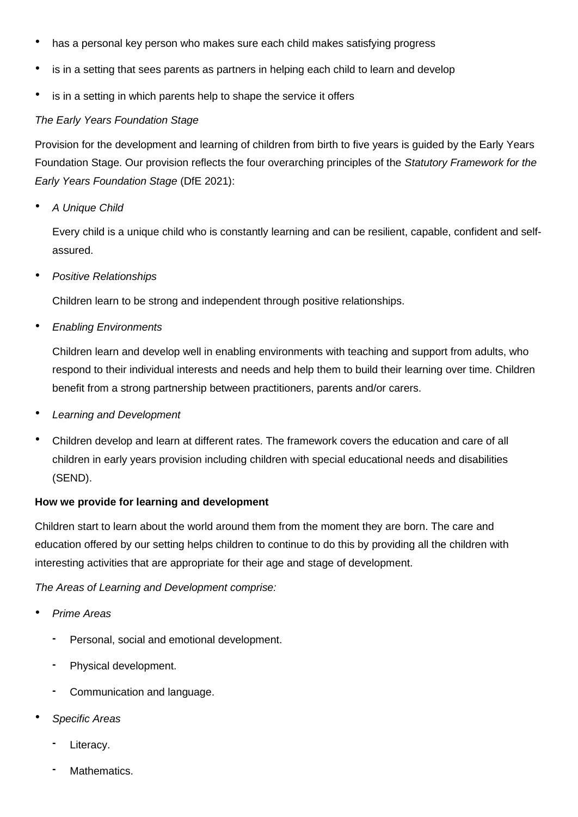- has a personal key person who makes sure each child makes satisfying progress
- is in a setting that sees parents as partners in helping each child to learn and develop
- is in a setting in which parents help to shape the service it offers

## *The Early Years Foundation Stage*

Provision for the development and learning of children from birth to five years is guided by the Early Years Foundation Stage. Our provision reflects the four overarching principles of the *Statutory Framework for the Early Years Foundation Stage* (DfE 2021):

• *A Unique Child*

Every child is a unique child who is constantly learning and can be resilient, capable, confident and selfassured.

• *Positive Relationships*

Children learn to be strong and independent through positive relationships.

• *Enabling Environments*

Children learn and develop well in enabling environments with teaching and support from adults, who respond to their individual interests and needs and help them to build their learning over time. Children benefit from a strong partnership between practitioners, parents and/or carers.

- *Learning and Development*
- Children develop and learn at different rates. The framework covers the education and care of all children in early years provision including children with special educational needs and disabilities (SEND).

## **How we provide for learning and development**

Children start to learn about the world around them from the moment they are born. The care and education offered by our setting helps children to continue to do this by providing all the children with interesting activities that are appropriate for their age and stage of development.

*The Areas of Learning and Development comprise:*

- *Prime Areas*
	- **-** Personal, social and emotional development.
	- **-** Physical development.
	- **-** Communication and language.
- *Specific Areas*
	- **-** Literacy.
	- **-** Mathematics.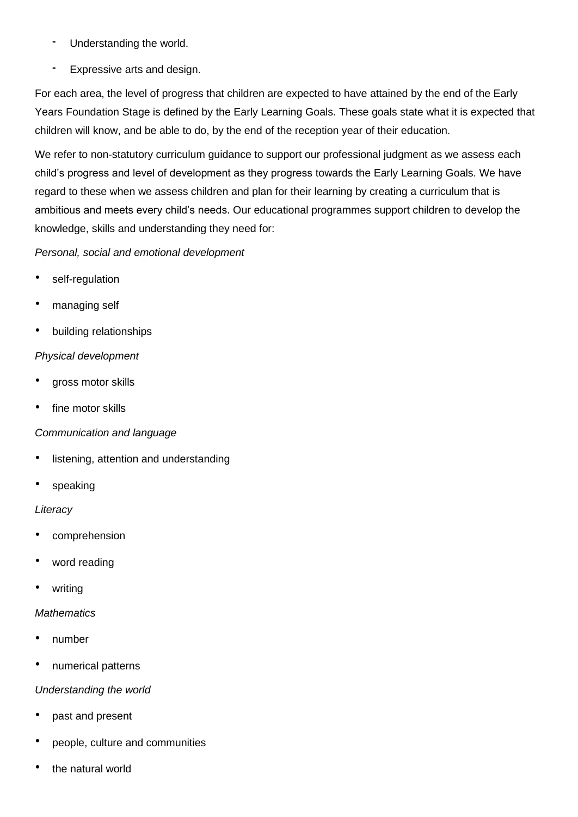- **-** Understanding the world.
- **-** Expressive arts and design.

For each area, the level of progress that children are expected to have attained by the end of the Early Years Foundation Stage is defined by the Early Learning Goals. These goals state what it is expected that children will know, and be able to do, by the end of the reception year of their education.

We refer to non-statutory curriculum quidance to support our professional judgment as we assess each child's progress and level of development as they progress towards the Early Learning Goals. We have regard to these when we assess children and plan for their learning by creating a curriculum that is ambitious and meets every child's needs. Our educational programmes support children to develop the knowledge, skills and understanding they need for:

## *Personal, social and emotional development*

- self-regulation
- managing self
- building relationships

## *Physical development*

- gross motor skills
- fine motor skills

## *Communication and language*

- listening, attention and understanding
- speaking

## *Literacy*

- comprehension
- word reading
- writing

## *Mathematics*

- number
- numerical patterns

## *Understanding the world*

- past and present
- people, culture and communities
- the natural world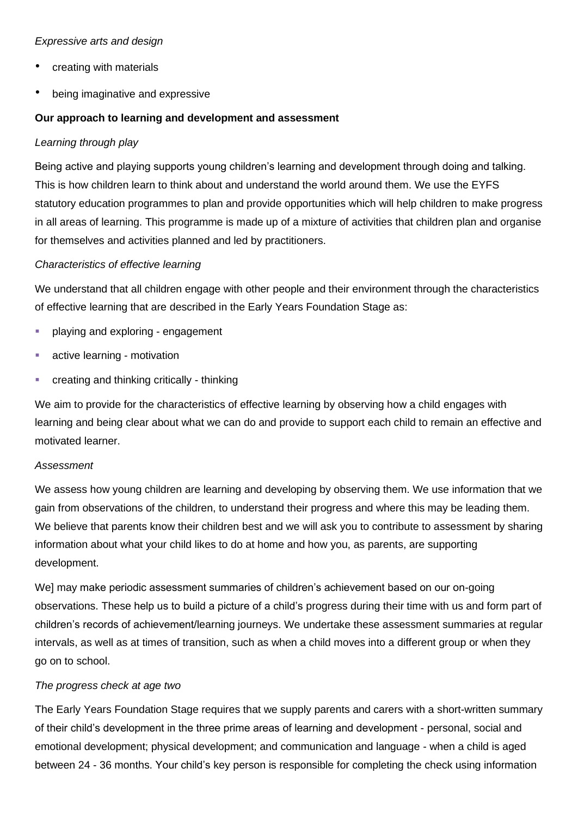## *Expressive arts and design*

- creating with materials
- being imaginative and expressive

## **Our approach to learning and development and assessment**

## *Learning through play*

Being active and playing supports young children's learning and development through doing and talking. This is how children learn to think about and understand the world around them. We use the EYFS statutory education programmes to plan and provide opportunities which will help children to make progress in all areas of learning. This programme is made up of a mixture of activities that children plan and organise for themselves and activities planned and led by practitioners.

## *Characteristics of effective learning*

We understand that all children engage with other people and their environment through the characteristics of effective learning that are described in the Early Years Foundation Stage as:

- playing and exploring engagement
- active learning motivation
- creating and thinking critically thinking

We aim to provide for the characteristics of effective learning by observing how a child engages with learning and being clear about what we can do and provide to support each child to remain an effective and motivated learner.

## *Assessment*

We assess how young children are learning and developing by observing them. We use information that we gain from observations of the children, to understand their progress and where this may be leading them. We believe that parents know their children best and we will ask you to contribute to assessment by sharing information about what your child likes to do at home and how you, as parents, are supporting development.

We] may make periodic assessment summaries of children's achievement based on our on-going observations. These help us to build a picture of a child's progress during their time with us and form part of children's records of achievement/learning journeys. We undertake these assessment summaries at regular intervals, as well as at times of transition, such as when a child moves into a different group or when they go on to school.

## *The progress check at age two*

The Early Years Foundation Stage requires that we supply parents and carers with a short-written summary of their child's development in the three prime areas of learning and development - personal, social and emotional development; physical development; and communication and language - when a child is aged between 24 - 36 months. Your child's key person is responsible for completing the check using information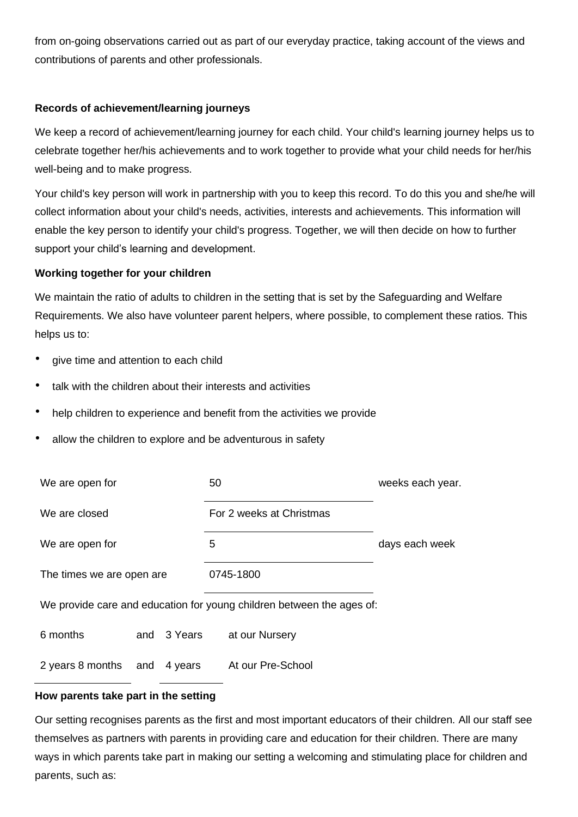from on-going observations carried out as part of our everyday practice, taking account of the views and contributions of parents and other professionals.

## **Records of achievement/learning journeys**

We keep a record of achievement/learning journey for each child. Your child's learning journey helps us to celebrate together her/his achievements and to work together to provide what your child needs for her/his well-being and to make progress.

Your child's key person will work in partnership with you to keep this record. To do this you and she/he will collect information about your child's needs, activities, interests and achievements. This information will enable the key person to identify your child's progress. Together, we will then decide on how to further support your child's learning and development.

## **Working together for your children**

We maintain the ratio of adults to children in the setting that is set by the Safeguarding and Welfare Requirements. We also have volunteer parent helpers, where possible, to complement these ratios. This helps us to:

- give time and attention to each child
- talk with the children about their interests and activities
- help children to experience and benefit from the activities we provide
- allow the children to explore and be adventurous in safety

| We are open for                                                       |  |             | 50                       |                   | weeks each year. |
|-----------------------------------------------------------------------|--|-------------|--------------------------|-------------------|------------------|
| We are closed                                                         |  |             | For 2 weeks at Christmas |                   |                  |
| We are open for                                                       |  |             | 5                        |                   | days each week   |
| The times we are open are                                             |  |             | 0745-1800                |                   |                  |
| We provide care and education for young children between the ages of: |  |             |                          |                   |                  |
| 6 months                                                              |  | and 3 Years |                          | at our Nursery    |                  |
| 2 years 8 months and                                                  |  | 4 years     |                          | At our Pre-School |                  |

## **How parents take part in the setting**

Our setting recognises parents as the first and most important educators of their children. All our staff see themselves as partners with parents in providing care and education for their children. There are many ways in which parents take part in making our setting a welcoming and stimulating place for children and parents, such as: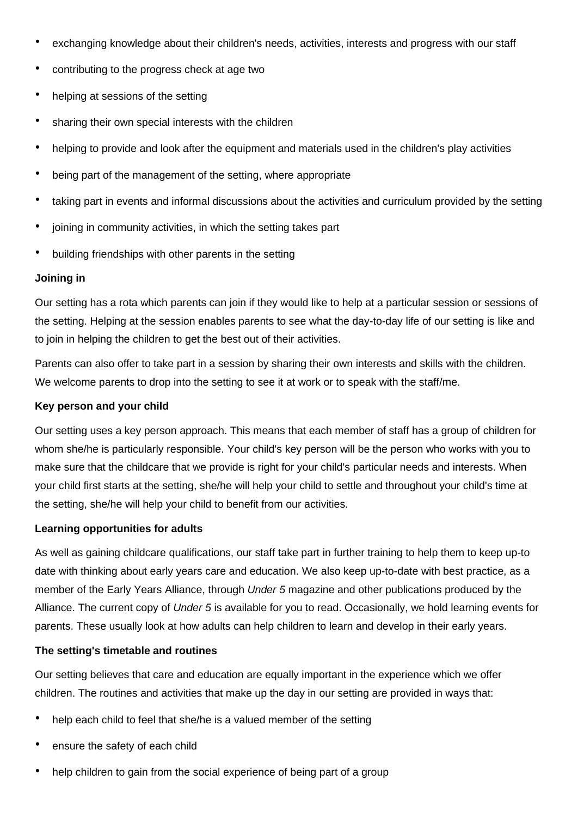- exchanging knowledge about their children's needs, activities, interests and progress with our staff
- contributing to the progress check at age two
- helping at sessions of the setting
- sharing their own special interests with the children
- helping to provide and look after the equipment and materials used in the children's play activities
- being part of the management of the setting, where appropriate
- taking part in events and informal discussions about the activities and curriculum provided by the setting
- joining in community activities, in which the setting takes part
- building friendships with other parents in the setting

#### **Joining in**

Our setting has a rota which parents can join if they would like to help at a particular session or sessions of the setting. Helping at the session enables parents to see what the day-to-day life of our setting is like and to join in helping the children to get the best out of their activities.

Parents can also offer to take part in a session by sharing their own interests and skills with the children. We welcome parents to drop into the setting to see it at work or to speak with the staff/me.

#### **Key person and your child**

Our setting uses a key person approach. This means that each member of staff has a group of children for whom she/he is particularly responsible. Your child's key person will be the person who works with you to make sure that the childcare that we provide is right for your child's particular needs and interests. When your child first starts at the setting, she/he will help your child to settle and throughout your child's time at the setting, she/he will help your child to benefit from our activities.

## **Learning opportunities for adults**

As well as gaining childcare qualifications, our staff take part in further training to help them to keep up-to date with thinking about early years care and education. We also keep up-to-date with best practice, as a member of the Early Years Alliance, through *Under 5* magazine and other publications produced by the Alliance. The current copy of *Under 5* is available for you to read. Occasionally, we hold learning events for parents. These usually look at how adults can help children to learn and develop in their early years.

## **The setting's timetable and routines**

Our setting believes that care and education are equally important in the experience which we offer children. The routines and activities that make up the day in our setting are provided in ways that:

- help each child to feel that she/he is a valued member of the setting
- ensure the safety of each child
- help children to gain from the social experience of being part of a group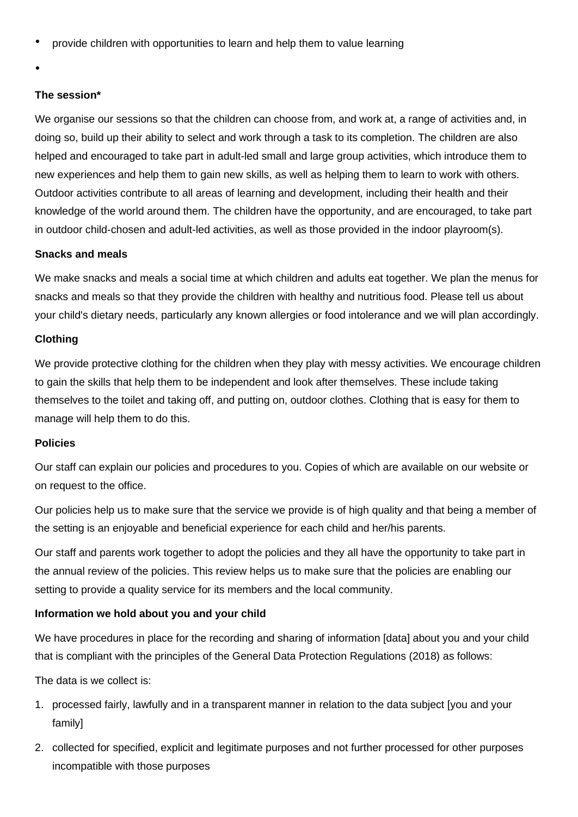• provide children with opportunities to learn and help them to value learning

•

## **The session\***

We organise our sessions so that the children can choose from, and work at, a range of activities and, in doing so, build up their ability to select and work through a task to its completion. The children are also helped and encouraged to take part in adult-led small and large group activities, which introduce them to new experiences and help them to gain new skills, as well as helping them to learn to work with others. Outdoor activities contribute to all areas of learning and development, including their health and their knowledge of the world around them. The children have the opportunity, and are encouraged, to take part in outdoor child-chosen and adult-led activities, as well as those provided in the indoor playroom(s).

## **Snacks and meals**

We make snacks and meals a social time at which children and adults eat together. We plan the menus for snacks and meals so that they provide the children with healthy and nutritious food. Please tell us about your child's dietary needs, particularly any known allergies or food intolerance and we will plan accordingly.

## **Clothing**

We provide protective clothing for the children when they play with messy activities. We encourage children to gain the skills that help them to be independent and look after themselves. These include taking themselves to the toilet and taking off, and putting on, outdoor clothes. Clothing that is easy for them to manage will help them to do this.

## **Policies**

Our staff can explain our policies and procedures to you. Copies of which are available on our website or on request to the office.

Our policies help us to make sure that the service we provide is of high quality and that being a member of the setting is an enjoyable and beneficial experience for each child and her/his parents.

Our staff and parents work together to adopt the policies and they all have the opportunity to take part in the annual review of the policies. This review helps us to make sure that the policies are enabling our setting to provide a quality service for its members and the local community.

## **Information we hold about you and your child**

We have procedures in place for the recording and sharing of information [data] about you and your child that is compliant with the principles of the General Data Protection Regulations (2018) as follows:

The data is we collect is:

- 1. processed fairly, lawfully and in a transparent manner in relation to the data subject [you and your family]
- 2. collected for specified, explicit and legitimate purposes and not further processed for other purposes incompatible with those purposes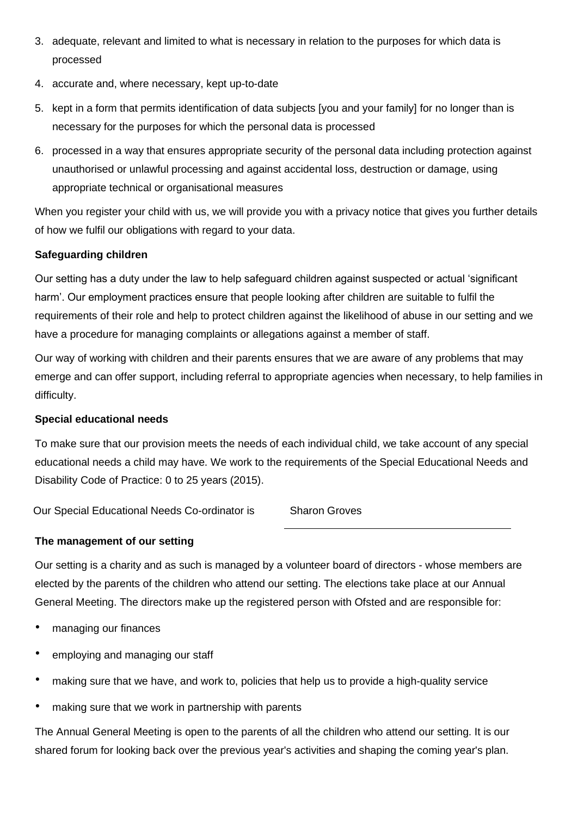- 3. adequate, relevant and limited to what is necessary in relation to the purposes for which data is processed
- 4. accurate and, where necessary, kept up-to-date
- 5. kept in a form that permits identification of data subjects [you and your family] for no longer than is necessary for the purposes for which the personal data is processed
- 6. processed in a way that ensures appropriate security of the personal data including protection against unauthorised or unlawful processing and against accidental loss, destruction or damage, using appropriate technical or organisational measures

When you register your child with us, we will provide you with a privacy notice that gives you further details of how we fulfil our obligations with regard to your data.

## **Safeguarding children**

Our setting has a duty under the law to help safeguard children against suspected or actual 'significant harm'. Our employment practices ensure that people looking after children are suitable to fulfil the requirements of their role and help to protect children against the likelihood of abuse in our setting and we have a procedure for managing complaints or allegations against a member of staff.

Our way of working with children and their parents ensures that we are aware of any problems that may emerge and can offer support, including referral to appropriate agencies when necessary, to help families in difficulty.

## **Special educational needs**

To make sure that our provision meets the needs of each individual child, we take account of any special educational needs a child may have. We work to the requirements of the Special Educational Needs and Disability Code of Practice: 0 to 25 years (2015).

Our Special Educational Needs Co-ordinator is Sharon Groves

## **The management of our setting**

Our setting is a charity and as such is managed by a volunteer board of directors - whose members are elected by the parents of the children who attend our setting. The elections take place at our Annual General Meeting. The directors make up the registered person with Ofsted and are responsible for:

- managing our finances
- employing and managing our staff
- making sure that we have, and work to, policies that help us to provide a high-quality service
- making sure that we work in partnership with parents

The Annual General Meeting is open to the parents of all the children who attend our setting. It is our shared forum for looking back over the previous year's activities and shaping the coming year's plan.